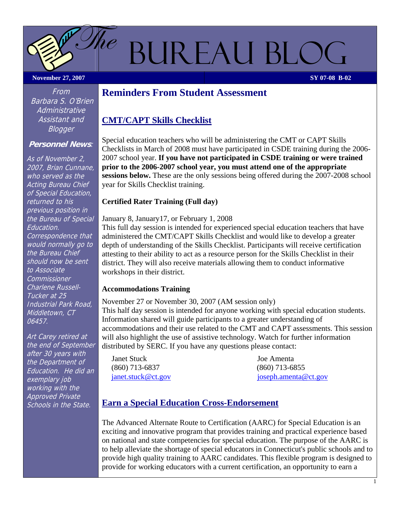BUREAU BLO

**November 27, 2007** SY 07-08 B-02

 $he$ 

# **Reminders From Student Assessment**

## **CMT/CAPT Skills Checklist**

Special education teachers who will be administering the CMT or CAPT Skills Checklists in March of 2008 must have participated in CSDE training during the 2006- 2007 school year. **If you have not participated in CSDE training or were trained prior to the 2006-2007 school year, you must attend one of the appropriate sessions below.** These are the only sessions being offered during the 2007-2008 school year for Skills Checklist training.

#### **Certified Rater Training (Full day)**

January 8, January17, or February 1, 2008

This full day session is intended for experienced special education teachers that have administered the CMT/CAPT Skills Checklist and would like to develop a greater depth of understanding of the Skills Checklist. Participants will receive certification attesting to their ability to act as a resource person for the Skills Checklist in their district. They will also receive materials allowing them to conduct informative workshops in their district.

#### **Accommodations Training**

November 27 or November 30, 2007 (AM session only) This half day session is intended for anyone working with special education students. Information shared will guide participants to a greater understanding of accommodations and their use related to the CMT and CAPT assessments. This session will also highlight the use of assistive technology. Watch for further information distributed by SERC. If you have any questions please contact:

Janet Stuck Joe Amenta (860) 713-6837 (860) 713-6855

[janet.stuck@ct.gov](mailto:janet.stuck@ct.gov) [joseph.amenta@ct.gov](mailto:joseph.amenta@ct.gov)

# **Earn a Special Education Cross-Endorsement**

The Advanced Alternate Route to Certification (AARC) for Special Education is an exciting and innovative program that provides training and practical experience based on national and state competencies for special education. The purpose of the AARC is to help alleviate the shortage of special educators in Connecticut's public schools and to provide high quality training to AARC candidates. This flexible program is designed to provide for working educators with a current certification, an opportunity to earn a

From Barbara S. O'Brien **Administrative** Assistant and Blogger

#### **Personnel News**:

As of November 2, 2007, Brian Cunnane, who served as the Acting Bureau Chief of Special Education, returned to his previous position in the Bureau of Special Education. Correspondence that would normally go to the Bureau Chief should now be sent to Associate Commissioner Charlene Russell-Tucker at 25 Industrial Park Road, Middletown, CT 06457.

Art Carey retired at the end of September after 30 years with the Department of Education. He did an exemplary job working with the Approved Private Schools in the State.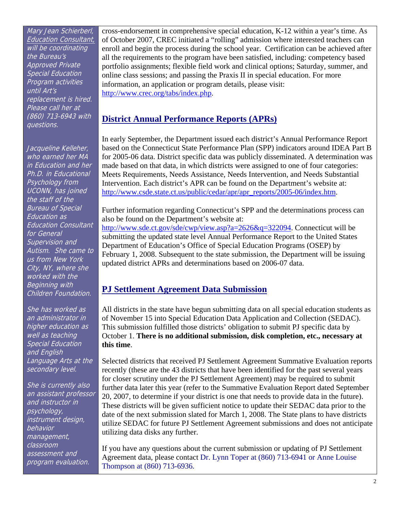Mary Jean Schierberl, Education Consultant, will be coordinating the Bureau's Approved Private Special Education Program activities until Art's replacement is hired. Please call her at (860) 713-6943 with questions.

Jacqueline Kelleher, who earned her MA in Education and her Ph.D. in Educational Psychology from UCONN, has joined the staff of the Bureau of Special Education as Education Consultant for General Supervision and Autism. She came to us from New York City, NY, where she worked with the Beginning with Children Foundation.

She has worked as an administrator in higher education as well as teaching Special Education and English Language Arts at the secondary level.

She is currently also an assistant professor and instructor in psychology, instrument design, behavior management, classroom assessment and program evaluation.

cross-endorsement in comprehensive special education, K-12 within a year's time. As of October 2007, CREC initiated a "rolling" admission where interested teachers can enroll and begin the process during the school year. Certification can be achieved after all the requirements to the program have been satisfied, including: competency based portfolio assignments; flexible field work and clinical options; Saturday, summer, and online class sessions; and passing the Praxis II in special education. For more information, an application or program details, please visit: [http://www.crec.org/tabs/index.php.](http://www.crec.org/tabs/index.php)

## **District Annual Performance Reports (APRs)**

In early September, the Department issued each district's Annual Performance Report based on the Connecticut State Performance Plan (SPP) indicators around IDEA Part B for 2005-06 data. District specific data was publicly disseminated. A determination was made based on that data, in which districts were assigned to one of four categories: Meets Requirements, Needs Assistance, Needs Intervention, and Needs Substantial Intervention. Each district's APR can be found on the Department's website at: [http://www.csde.state.ct.us/public/cedar/apr/apr\\_reports/2005-06/index.htm.](http://www.csde.state.ct.us/public/cedar/apr/apr_reports/2005-06/index.htm)

Further information regarding Connecticut's SPP and the determinations process can also be found on the Department's website at:

[http://www.sde.ct.gov/sde/cwp/view.asp?a=2626&q=322094.](http://www.sde.ct.gov/sde/cwp/view.asp?a=2626&q=322094) Connecticut will be submitting the updated state level Annual Performance Report to the United States Department of Education's Office of Special Education Programs (OSEP) by February 1, 2008. Subsequent to the state submission, the Department will be issuing updated district APRs and determinations based on 2006-07 data.

## **PJ Settlement Agreement Data Submission**

All districts in the state have begun submitting data on all special education students as of November 15 into Special Education Data Application and Collection (SEDAC). This submission fulfilled those districts' obligation to submit PJ specific data by October 1. **There is no additional submission, disk completion, etc., necessary at this time**.

Selected districts that received PJ Settlement Agreement Summative Evaluation reports recently (these are the 43 districts that have been identified for the past several years for closer scrutiny under the PJ Settlement Agreement) may be required to submit further data later this year (refer to the Summative Evaluation Report dated September 20, 2007, to determine if your district is one that needs to provide data in the future). These districts will be given sufficient notice to update their SEDAC data prior to the date of the next submission slated for March 1, 2008. The State plans to have districts utilize SEDAC for future PJ Settlement Agreement submissions and does not anticipate utilizing data disks any further.

If you have any questions about the current submission or updating of PJ Settlement Agreement data, please contact Dr. Lynn Toper at (860) 713-6941 or Anne Louise Thompson at (860) 713-6936.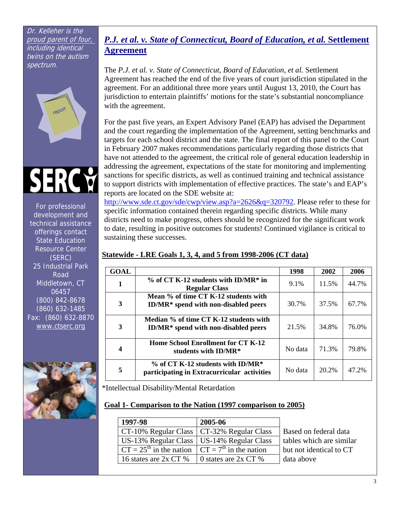Dr. Kelleher is the proud parent of four, including identical twins on the autism spectrum.





For professional development and technical assistance offerings contact State Education Resource Center (SERC) 25 Industrial Park Road Middletown, CT 06457 (800) 842-8678 (860) 632-1485 Fax: (860) 632-8870 [www.ctserc.org](http://www.ctserc.org/)



## *P.J. et al. v. State of Connecticut, Board of Education, et al.* **Settlement Agreement**

The *P.J. et al. v. State of Connecticut, Board of Education, et al.* Settlement Agreement has reached the end of the five years of court jurisdiction stipulated in the agreement. For an additional three more years until August 13, 2010, the Court has jurisdiction to entertain plaintiffs' motions for the state's substantial noncompliance with the agreement.

For the past five years, an Expert Advisory Panel (EAP) has advised the Department and the court regarding the implementation of the Agreement, setting benchmarks and targets for each school district and the state. The final report of this panel to the Court in February 2007 makes recommendations particularly regarding those districts that have not attended to the agreement, the critical role of general education leadership in addressing the agreement, expectations of the state for monitoring and implementing sanctions for specific districts, as well as continued training and technical assistance to support districts with implementation of effective practices. The state's and EAP's reports are located on the SDE website at:

<http://www.sde.ct.gov/sde/cwp/view.asp?a=2626&q=320792>. Please refer to these for specific information contained therein regarding specific districts. While many districts need to make progress, others should be recognized for the significant work to date, resulting in positive outcomes for students! Continued vigilance is critical to sustaining these successes.

## **Statewide - LRE Goals 1, 3, 4, and 5 from 1998-2006 (CT data)**

| <b>GOAL</b> |                                                                                       | 1998    | 2002  | 2006  |
|-------------|---------------------------------------------------------------------------------------|---------|-------|-------|
|             | $\%$ of CT K-12 students with ID/MR* in<br><b>Regular Class</b>                       | $9.1\%$ | 11.5% | 44.7% |
| 3           | Mean % of time CT K-12 students with<br><b>ID/MR*</b> spend with non-disabled peers   | 30.7%   | 37.5% | 67.7% |
| 3           | Median % of time CT K-12 students with<br><b>ID/MR*</b> spend with non-disabled peers | 21.5%   | 34.8% | 76.0% |
| 4           | <b>Home School Enrollment for CT K-12</b><br>students with ID/MR*                     | No data | 71.3% | 79.8% |
| 5           | $\%$ of CT K-12 students with ID/MR*<br>participating in Extracurricular activities   | No data | 20.2% | 47.2% |

\*Intellectual Disability/Mental Retardation

#### **Goal 1- Comparison to the Nation (1997 comparison to 2005)**

| 1997-98                                     | 2005-06                                     |                          |
|---------------------------------------------|---------------------------------------------|--------------------------|
|                                             | CT-10% Regular Class   CT-32% Regular Class | Based on federal data    |
| US-13% Regular Class   US-14% Regular Class |                                             | tables which are similar |
| $CT = 25th$ in the nation                   | $\Gamma$ CT = 7 <sup>th</sup> in the nation | but not identical to CT  |
| 16 states are 2x CT %                       | 0 states are $2x$ CT %                      | data above               |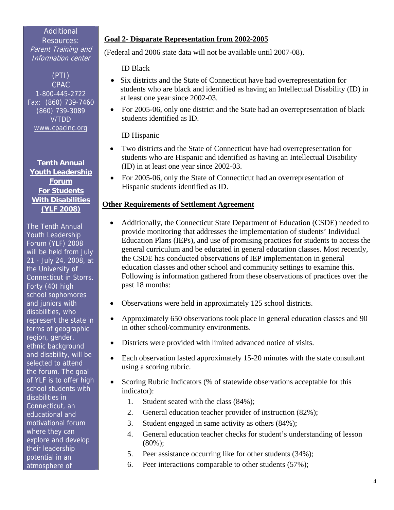## Additional

Resources: Parent Training and Information center

(PTI) CPAC 1-800-445-2722 Fax: (860) 739-7460 (860) 739-3089 V/TDD [www.cpacinc.org](http://www.cpacinc.org/)

**Tenth Annual Youth Leadership Forum For Students With Disabilities (YLF 2008)**

The Tenth Annual Youth Leadership Forum (YLF) 2008 will be held from July 21 - July 24, 2008, at the University of Connecticut in Storrs. Forty (40) high school sophomores and juniors with disabilities, who represent the state in terms of geographic region, gender, ethnic background and disability, will be selected to attend the forum. The goal of YLF is to offer high school students with disabilities in Connecticut, an educational and motivational forum where they can explore and develop their leadership potential in an atmosphere of

#### **Goal 2- Disparate Representation from 2002-2005**

(Federal and 2006 state data will not be available until 2007-08).

#### ID Black

- Six districts and the State of Connecticut have had overrepresentation for students who are black and identified as having an Intellectual Disability (ID) in at least one year since 2002-03.
- For 2005-06, only one district and the State had an overrepresentation of black students identified as ID.

#### ID Hispanic

- Two districts and the State of Connecticut have had overrepresentation for students who are Hispanic and identified as having an Intellectual Disability (ID) in at least one year since 2002-03.
- For 2005-06, only the State of Connecticut had an overrepresentation of Hispanic students identified as ID.

#### **Other Requirements of Settlement Agreement**

- Additionally, the Connecticut State Department of Education (CSDE) needed to provide monitoring that addresses the implementation of students' Individual Education Plans (IEPs), and use of promising practices for students to access the general curriculum and be educated in general education classes. Most recently, the CSDE has conducted observations of IEP implementation in general education classes and other school and community settings to examine this. Following is information gathered from these observations of practices over the past 18 months:
- Observations were held in approximately 125 school districts.
- Approximately 650 observations took place in general education classes and 90 in other school/community environments.
- Districts were provided with limited advanced notice of visits.
- Each observation lasted approximately 15-20 minutes with the state consultant using a scoring rubric.
- Scoring Rubric Indicators (% of statewide observations acceptable for this indicator):
	- 1. Student seated with the class (84%);
	- 2. General education teacher provider of instruction (82%);
	- 3. Student engaged in same activity as others (84%);
	- 4. General education teacher checks for student's understanding of lesson (80%);
	- 5. Peer assistance occurring like for other students (34%);
	- 6. Peer interactions comparable to other students (57%);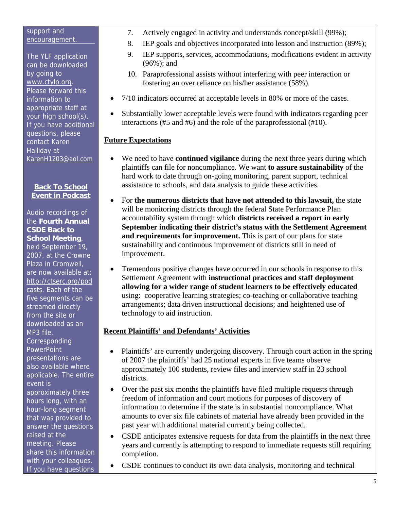#### support and encouragement.

The YLF application can be downloaded by going to [www.ctylp.org](http://www.ctylp.org/). Please forward this information to appropriate staff at your high school(s). If you have additional questions, please contact Karen Halliday at [KarenH1203@aol.com](mailto:KarenH1203@aol.com)

#### **Back To School Event in Podcast**

Audio recordings of the **Fourth Annual CSDE Back to School Meeting**,

held September 19, 2007, at the Crowne Plaza in Cromwell, are now available at: [http://ctserc.org/pod](http://ctserc.org/podcasts) [casts.](http://ctserc.org/podcasts) Each of the five segments can be streamed directly from the site or downloaded as an MP3 file. **Corresponding PowerPoint** presentations are also available where applicable. The entire event is approximately three hours long, with an hour-long segment that was provided to answer the questions raised at the meeting. Please share this information with your colleagues. If you have questions

- 7. Actively engaged in activity and understands concept/skill (99%);
- 8. IEP goals and objectives incorporated into lesson and instruction (89%);
- 9. IEP supports, services, accommodations, modifications evident in activity (96%); and
- 10. Paraprofessional assists without interfering with peer interaction or fostering an over reliance on his/her assistance (58%).
- 7/10 indicators occurred at acceptable levels in 80% or more of the cases.
- Substantially lower acceptable levels were found with indicators regarding peer interactions (#5 and #6) and the role of the paraprofessional (#10).

## **Future Expectations**

- We need to have **continued vigilance** during the next three years during which plaintiffs can file for noncompliance. We want **to assure sustainability** of the hard work to date through on-going monitoring, parent support, technical assistance to schools, and data analysis to guide these activities.
- For **the numerous districts that have not attended to this lawsuit,** the state will be monitoring districts through the federal State Performance Plan accountability system through which **districts received a report in early September indicating their district's status with the Settlement Agreement and requirements for improvement.** This is part of our plans for state sustainability and continuous improvement of districts still in need of improvement.
- Tremendous positive changes have occurred in our schools in response to this Settlement Agreement with **instructional practices and staff deployment allowing for a wider range of student learners to be effectively educated** using: cooperative learning strategies; co-teaching or collaborative teaching arrangements; data driven instructional decisions; and heightened use of technology to aid instruction.

## **Recent Plaintiffs' and Defendants' Activities**

- Plaintiffs' are currently undergoing discovery. Through court action in the spring of 2007 the plaintiffs' had 25 national experts in five teams observe approximately 100 students, review files and interview staff in 23 school districts.
- Over the past six months the plaintiffs have filed multiple requests through freedom of information and court motions for purposes of discovery of information to determine if the state is in substantial noncompliance. What amounts to over six file cabinets of material have already been provided in the past year with additional material currently being collected.
- CSDE anticipates extensive requests for data from the plaintiffs in the next three years and currently is attempting to respond to immediate requests still requiring completion.
- CSDE continues to conduct its own data analysis, monitoring and technical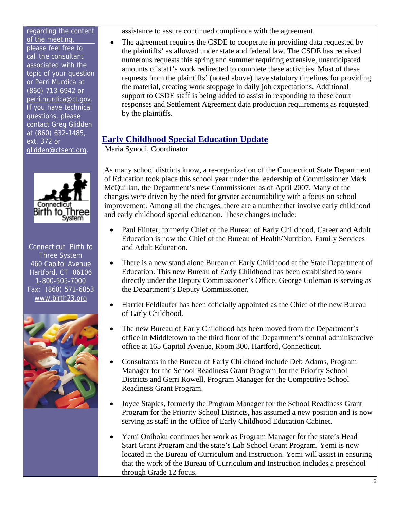regarding the content of the meeting, please feel free to call the consultant associated with the topic of your question or Perri Murdica at (860) 713-6942 or [perri.murdica@ct.gov.](mailto:perri.murdica@ct.gov) If you have technical questions, please contact Greg Glidden at (860) 632-1485, ext. 372 or [glidden@ctserc.org](mailto:glidden@ctserc.org).



Connecticut Birth to Three System 460 Capitol Avenue Hartford, CT 06106 1-800-505-7000 Fax: (860) 571-6853 [www.birth23.org](http://www.birth23.org/)



assistance to assure continued compliance with the agreement.

• The agreement requires the CSDE to cooperate in providing data requested by the plaintiffs' as allowed under state and federal law. The CSDE has received numerous requests this spring and summer requiring extensive, unanticipated amounts of staff's work redirected to complete these activities. Most of these requests from the plaintiffs' (noted above) have statutory timelines for providing the material, creating work stoppage in daily job expectations. Additional support to CSDE staff is being added to assist in responding to these court responses and Settlement Agreement data production requirements as requested by the plaintiffs.

# **Early Childhood Special Education Update**

Maria Synodi, Coordinator

As many school districts know, a re-organization of the Connecticut State Department of Education took place this school year under the leadership of Commissioner Mark McQuillan, the Department's new Commissioner as of April 2007. Many of the changes were driven by the need for greater accountability with a focus on school improvement. Among all the changes, there are a number that involve early childhood and early childhood special education. These changes include:

- Paul Flinter, formerly Chief of the Bureau of Early Childhood, Career and Adult Education is now the Chief of the Bureau of Health/Nutrition, Family Services and Adult Education.
- There is a new stand alone Bureau of Early Childhood at the State Department of Education. This new Bureau of Early Childhood has been established to work directly under the Deputy Commissioner's Office. George Coleman is serving as the Department's Deputy Commissioner.
- Harriet Feldlaufer has been officially appointed as the Chief of the new Bureau of Early Childhood.
- The new Bureau of Early Childhood has been moved from the Department's office in Middletown to the third floor of the Department's central administrative office at 165 Capitol Avenue, Room 300, Hartford, Connecticut.
- Consultants in the Bureau of Early Childhood include Deb Adams, Program Manager for the School Readiness Grant Program for the Priority School Districts and Gerri Rowell, Program Manager for the Competitive School Readiness Grant Program.
- Joyce Staples, formerly the Program Manager for the School Readiness Grant Program for the Priority School Districts, has assumed a new position and is now serving as staff in the Office of Early Childhood Education Cabinet.
- Yemi Oniboku continues her work as Program Manager for the state's Head Start Grant Program and the state's Lab School Grant Program. Yemi is now located in the Bureau of Curriculum and Instruction. Yemi will assist in ensuring that the work of the Bureau of Curriculum and Instruction includes a preschool through Grade 12 focus.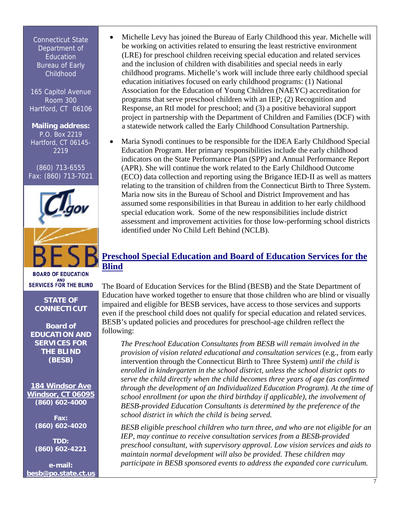Connecticut State Department of Education **Bureau of Early** Childhood

165 Capitol Avenue Room 300 Hartford, CT 06106

**Mailing address:**  P.O. Box 2219 Hartford, CT 06145- 2219

(860) 713-6555 Fax: (860) 713-7021



**BOARD OF EDUCATION** SERVICES FOR THE BLIND

## **STATE OF CONNECTICUT**

**Board of EDUCATION AND SERVICES FOR THE BLIND (BESB)** 

**[184 Windsor Ave](http://www.ct.gov/besb/cwp/view.asp?a=2848&q=331440) [Windsor, CT 06095](http://www.ct.gov/besb/cwp/view.asp?a=2848&q=331440) (860) 602-4000**

> **Fax: (860) 602-4020**

> **TDD: (860) 602-4221**

**e-mail: [besb@po.state.ct.us](mailto:BESB@PO.STATE.CT.US)**

- Michelle Levy has joined the Bureau of Early Childhood this year. Michelle will be working on activities related to ensuring the least restrictive environment (LRE) for preschool children receiving special education and related services and the inclusion of children with disabilities and special needs in early childhood programs. Michelle's work will include three early childhood special education initiatives focused on early childhood programs: (1) National Association for the Education of Young Children (NAEYC) accreditation for programs that serve preschool children with an IEP; (2) Recognition and Response, an RtI model for preschool; and (3) a positive behavioral support project in partnership with the Department of Children and Families (DCF) with a statewide network called the Early Childhood Consultation Partnership.
- Maria Synodi continues to be responsible for the IDEA Early Childhood Special Education Program. Her primary responsibilities include the early childhood indicators on the State Performance Plan (SPP) and Annual Performance Report (APR). She will continue the work related to the Early Childhood Outcome (ECO) data collection and reporting using the Brigance IED-II as well as matters relating to the transition of children from the Connecticut Birth to Three System. Maria now sits in the Bureau of School and District Improvement and has assumed some responsibilities in that Bureau in addition to her early childhood special education work. Some of the new responsibilities include district assessment and improvement activities for those low-performing school districts identified under No Child Left Behind (NCLB).

## **Preschool Special Education and Board of Education Services for the Blind**

The Board of Education Services for the Blind (BESB) and the State Department of Education have worked together to ensure that those children who are blind or visually impaired and eligible for BESB services, have access to those services and supports even if the preschool child does not qualify for special education and related services. BESB's updated policies and procedures for preschool-age children reflect the following:

*The Preschool Education Consultants from BESB will remain involved in the provision of vision related educational and consultation services* (e.g., from early intervention through the Connecticut Birth to Three System) *until the child is enrolled in kindergarten in the school district, unless the school district opts to serve the child directly when the child becomes three years of age (as confirmed through the development of an Individualized Education Program). At the time of school enrollment (or upon the third birthday if applicable), the involvement of BESB-provided Education Consultants is determined by the preference of the school district in which the child is being served.*

*BESB eligible preschool children who turn three, and who are not eligible for an IEP, may continue to receive consultation services from a BESB-provided preschool consultant, with supervisory approval. Low vision services and aids to maintain normal development will also be provided. These children may participate in BESB sponsored events to address the expanded core curriculum.*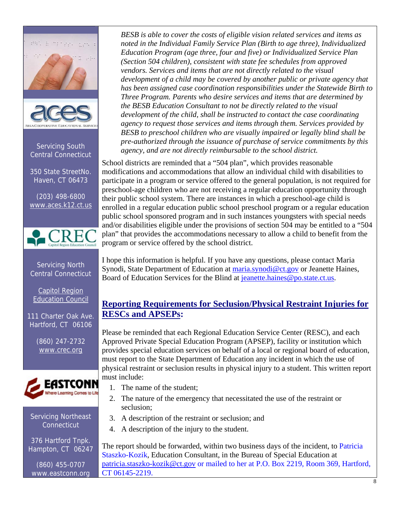# Phila manage age



Servicing South Central Connecticut

350 State StreetNo. Haven, CT 06473

(203) 498-6800 [www.aces.k12.ct.us](http://www.aces.k12.ct.us/) 



Servicing North Central Connecticut

Capitol Region Education Council

111 Charter Oak Ave. Hartford, CT 06106

> (860) 247-2732 [www.crec.org](http://www.crec.org/)



#### Servicing Northeast **Connecticut**

376 Hartford Tnpk. Hampton, CT 06247

(860) 455-0707 www.eastconn.org

*BESB is able to cover the costs of eligible vision related services and items as noted in the Individual Family Service Plan (Birth to age three), Individualized Education Program (age three, four and five) or Individualized Service Plan (Section 504 children), consistent with state fee schedules from approved vendors. Services and items that are not directly related to the visual development of a child may be covered by another public or private agency that has been assigned case coordination responsibilities under the Statewide Birth to Three Program. Parents who desire services and items that are determined by the BESB Education Consultant to not be directly related to the visual development of the child, shall be instructed to contact the case coordinating agency to request those services and items through them. Services provided by BESB to preschool children who are visually impaired or legally blind shall be pre-authorized through the issuance of purchase of service commitments by this agency, and are not directly reimbursable to the school district.* 

School districts are reminded that a "504 plan", which provides reasonable modifications and accommodations that allow an individual child with disabilities to participate in a program or service offered to the general population, is not required for preschool-age children who are not receiving a regular education opportunity through their public school system. There are instances in which a preschool-age child is enrolled in a regular education public school preschool program or a regular education public school sponsored program and in such instances youngsters with special needs and/or disabilities eligible under the provisions of section 504 may be entitled to a "504 plan" that provides the accommodations necessary to allow a child to benefit from the program or service offered by the school district.

I hope this information is helpful. If you have any questions, please contact Maria Synodi, State Department of Education at [maria.synodi@ct.gov](mailto:maria.synodi@ct.gov) or Jeanette Haines, Board of Education Services for the Blind at [jeanette.haines@po.state.ct.us](mailto:jeanette.haines@po.state.ct.us).

# **Reporting Requirements for Seclusion/Physical Restraint Injuries for RESCs and APSEPs:**

Please be reminded that each Regional Education Service Center (RESC), and each Approved Private Special Education Program (APSEP), facility or institution which provides special education services on behalf of a local or regional board of education, must report to the State Department of Education any incident in which the use of physical restraint or seclusion results in physical injury to a student. This written report must include:

- 1. The name of the student;
- 2. The nature of the emergency that necessitated the use of the restraint or seclusion;
- 3. A description of the restraint or seclusion; and
- 4. A description of the injury to the student.

The report should be forwarded, within two business days of the incident, to Patricia Staszko-Kozik, Education Consultant, in the Bureau of Special Education at [patricia.staszko-kozik@ct.gov](mailto:patricia.staszko-kozik@ct.gov) or mailed to her at P.O. Box 2219, Room 369, Hartford, CT 06145-2219.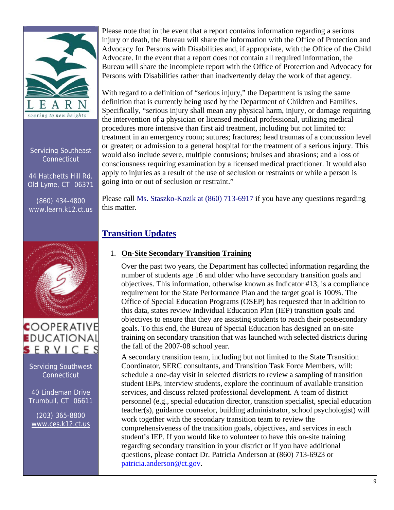

Servicing Southeast **Connecticut** 

44 Hatchetts Hill Rd. Old Lyme, CT 06371

(860) 434-4800 [www.learn.k12.ct.us](http://www.learn.k12.ct.us/)



# **COOPERATIVE EDUCATIONAL**  $S$  ERVICES

Servicing Southwest **Connecticut** 

40 Lindeman Drive Trumbull, CT 06611

(203) 365-8800 [www.ces.k12.ct.us](http://www.ces.k12.ct.us/)  Please note that in the event that a report contains information regarding a serious injury or death, the Bureau will share the information with the Office of Protection and Advocacy for Persons with Disabilities and, if appropriate, with the Office of the Child Advocate. In the event that a report does not contain all required information, the Bureau will share the incomplete report with the Office of Protection and Advocacy for Persons with Disabilities rather than inadvertently delay the work of that agency.

With regard to a definition of "serious injury," the Department is using the same definition that is currently being used by the Department of Children and Families. Specifically, "serious injury shall mean any physical harm, injury, or damage requiring the intervention of a physician or licensed medical professional, utilizing medical procedures more intensive than first aid treatment, including but not limited to: treatment in an emergency room; sutures; fractures; head traumas of a concussion level or greater; or admission to a general hospital for the treatment of a serious injury. This would also include severe, multiple contusions; bruises and abrasions; and a loss of consciousness requiring examination by a licensed medical practitioner. It would also apply to injuries as a result of the use of seclusion or restraints or while a person is going into or out of seclusion or restraint."

Please call Ms. Staszko-Kozik at (860) 713-6917 if you have any questions regarding this matter.

# **Transition Updates**

## 1. **On-Site Secondary Transition Training**

Over the past two years, the Department has collected information regarding the number of students age 16 and older who have secondary transition goals and objectives. This information, otherwise known as Indicator #13, is a compliance requirement for the State Performance Plan and the target goal is 100%. The Office of Special Education Programs (OSEP) has requested that in addition to this data, states review Individual Education Plan (IEP) transition goals and objectives to ensure that they are assisting students to reach their postsecondary goals. To this end, the Bureau of Special Education has designed an on-site training on secondary transition that was launched with selected districts during the fall of the 2007-08 school year.

A secondary transition team, including but not limited to the State Transition Coordinator, SERC consultants, and Transition Task Force Members, will: schedule a one-day visit in selected districts to review a sampling of transition student IEPs, interview students, explore the continuum of available transition services, and discuss related professional development. A team of district personnel (e.g., special education director, transition specialist, special education teacher(s), guidance counselor, building administrator, school psychologist) will work together with the secondary transition team to review the comprehensiveness of the transition goals, objectives, and services in each student's IEP. If you would like to volunteer to have this on-site training regarding secondary transition in your district or if you have additional questions, please contact Dr. Patricia Anderson at (860) 713-6923 or [patricia.anderson@ct.gov.](mailto:patricia.anderson@ct.gov)